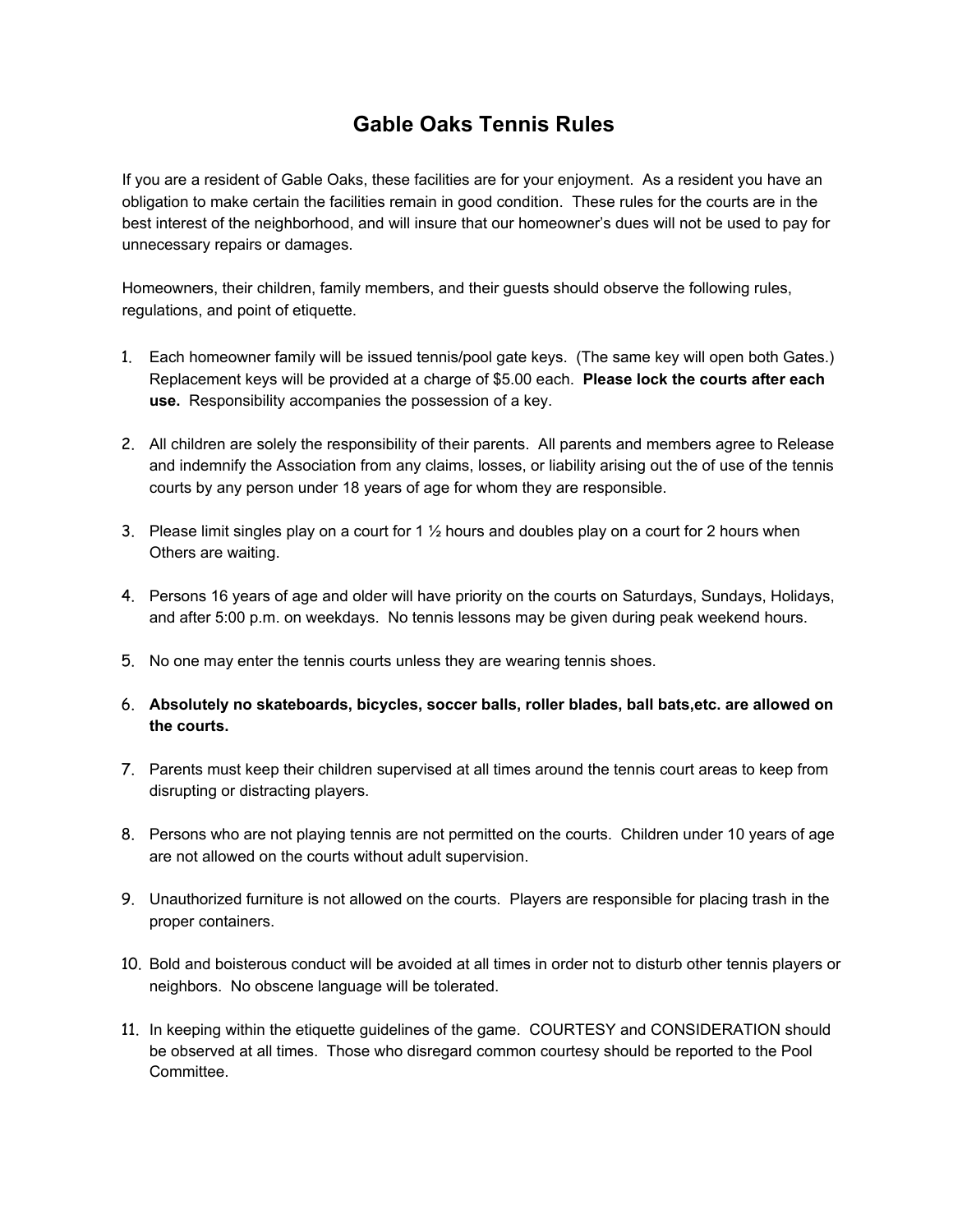## **Gable Oaks Tennis Rules**

If you are a resident of Gable Oaks, these facilities are for your enjoyment. As a resident you have an obligation to make certain the facilities remain in good condition. These rules for the courts are in the best interest of the neighborhood, and will insure that our homeowner's dues will not be used to pay for unnecessary repairs or damages.

Homeowners, their children, family members, and their guests should observe the following rules, regulations, and point of etiquette.

- 1. Each homeowner family will be issued tennis/pool gate keys. (The same key will open both Gates.) Replacement keys will be provided at a charge of \$5.00 each. **Please lock the courts after each use.** Responsibility accompanies the possession of a key.
- 2. All children are solely the responsibility of their parents. All parents and members agree to Release and indemnify the Association from any claims, losses, or liability arising out the of use of the tennis courts by any person under 18 years of age for whom they are responsible.
- 3. Please limit singles play on a court for 1  $\frac{1}{2}$  hours and doubles play on a court for 2 hours when Others are waiting.
- 4. Persons 16 years of age and older will have priority on the courts on Saturdays, Sundays, Holidays, and after 5:00 p.m. on weekdays. No tennis lessons may be given during peak weekend hours.
- 5. No one may enter the tennis courts unless they are wearing tennis shoes.
- 6. **Absolutely no skateboards, bicycles, soccer balls, roller blades, ball bats,etc. are allowed on the courts.**
- 7. Parents must keep their children supervised at all times around the tennis court areas to keep from disrupting or distracting players.
- 8. Persons who are not playing tennis are not permitted on the courts. Children under 10 years of age are not allowed on the courts without adult supervision.
- 9. Unauthorized furniture is not allowed on the courts. Players are responsible for placing trash in the proper containers.
- 10. Bold and boisterous conduct will be avoided at all times in order not to disturb other tennis players or neighbors. No obscene language will be tolerated.
- 11. In keeping within the etiquette guidelines of the game. COURTESY and CONSIDERATION should be observed at all times. Those who disregard common courtesy should be reported to the Pool Committee.